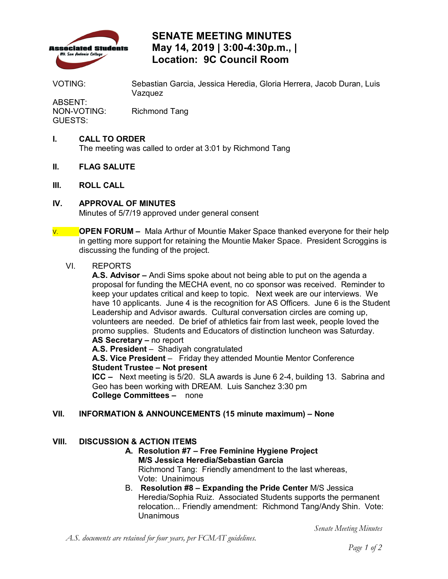

# **SENATE MEETING MINUTES May 14, 2019 | 3:00-4:30p.m., | Location: 9C Council Room**

VOTING: Sebastian Garcia, Jessica Heredia, Gloria Herrera, Jacob Duran, Luis Vazquez

ABSENT:<br>NON-VOTING: Richmond Tang GUESTS:

## **I. CALL TO ORDER**

The meeting was called to order at 3:01 by Richmond Tang

- **II. FLAG SALUTE**
- **III. ROLL CALL**
- **IV. APPROVAL OF MINUTES**

Minutes of 5/7/19 approved under general consent

 V. **OPEN FORUM –** Mala Arthur of Mountie Maker Space thanked everyone for their help in getting more support for retaining the Mountie Maker Space. President Scroggins is discussing the funding of the project.

### VI. REPORTS

 **A.S. Advisor –** Andi Sims spoke about not being able to put on the agenda a proposal for funding the MECHA event, no co sponsor was received. Reminder to keep your updates critical and keep to topic. Next week are our interviews. We have 10 applicants. June 4 is the recognition for AS Officers. June 6 is the Student volunteers are needed. De brief of athletics fair from last week, people loved the promo supplies. Students and Educators of distinction luncheon was Saturday. **AS Secretary –** no report Leadership and Advisor awards. Cultural conversation circles are coming up,

**A.S. President** – Shadiyah congratulated

 **A.S. Vice President** – Friday they attended Mountie Mentor Conference **Student Trustee – Not present** 

 **ICC –** Next meeting is 5/20. SLA awards is June 6 2-4, building 13. Sabrina and **College Committees –** none Geo has been working with DREAM. Luis Sanchez 3:30 pm

### **VII. INFORMATION & ANNOUNCEMENTS (15 minute maximum) – None**

## **VIII. DISCUSSION & ACTION ITEMS**

- Richmond Tang: Friendly amendment to the last whereas, Vote: Unainimous **A. Resolution #7 – Free Feminine Hygiene Project M/S Jessica Heredia/Sebastian Garcia**
- Heredia/Sophia Ruiz. Associated Students supports the permanent relocation... Friendly amendment: Richmond Tang/Andy Shin. Vote: B. **Resolution #8 – Expanding the Pride Center** M/S Jessica Unanimous

*Senate Meeting Minutes*